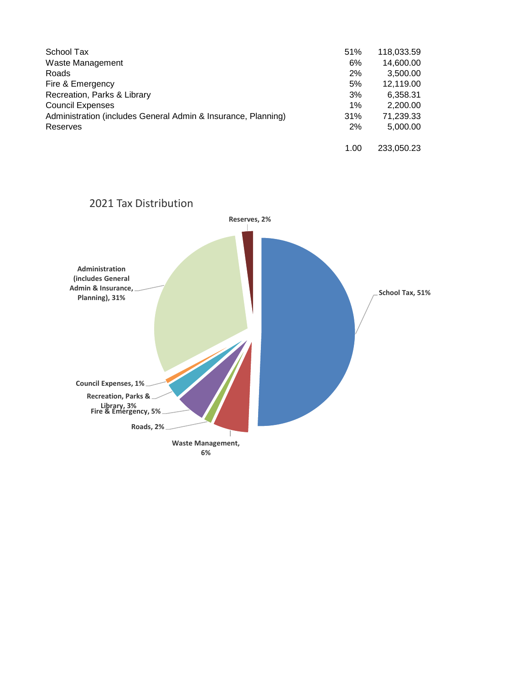| School Tax                                                    | 51%   | 118,033.59 |
|---------------------------------------------------------------|-------|------------|
| Waste Management                                              | 6%    | 14,600.00  |
| Roads                                                         | 2%    | 3,500.00   |
| Fire & Emergency                                              | 5%    | 12,119.00  |
| Recreation, Parks & Library                                   | 3%    | 6,358.31   |
| <b>Council Expenses</b>                                       | $1\%$ | 2,200.00   |
| Administration (includes General Admin & Insurance, Planning) | 31%   | 71,239.33  |
| <b>Reserves</b>                                               | 2%    | 5,000.00   |
|                                                               | 1.00  | 233,050.23 |

## 2021 Tax Distribution

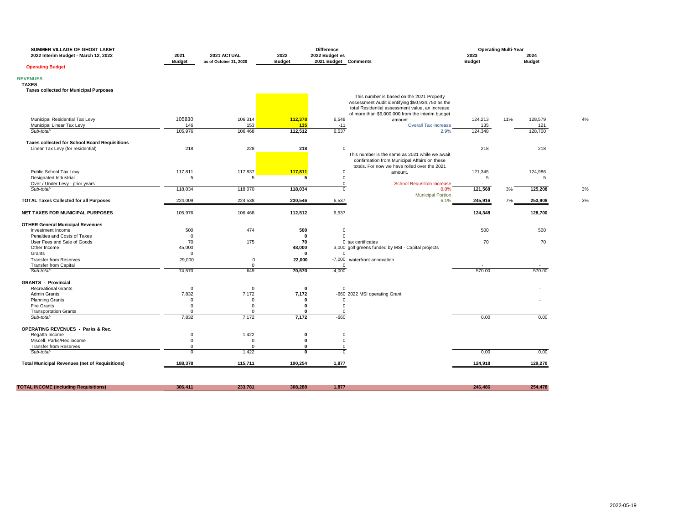| SUMMER VILLAGE OF GHOST LAKET<br>2022 Interim Budget - March 12, 2022 | 2021                         | 2021 ACTUAL            | 2022                          | <b>Difference</b><br>2022 Budget vs |                                                                                              | 2023           | <b>Operating Multi-Year</b><br>2024 |    |
|-----------------------------------------------------------------------|------------------------------|------------------------|-------------------------------|-------------------------------------|----------------------------------------------------------------------------------------------|----------------|-------------------------------------|----|
|                                                                       | <b>Budget</b>                | as of October 31, 2020 | <b>Budget</b>                 | 2021 Budget Comments                |                                                                                              | <b>Budget</b>  | <b>Budget</b>                       |    |
| <b>Operating Budget</b>                                               |                              |                        |                               |                                     |                                                                                              |                |                                     |    |
| <b>REVENUES</b>                                                       |                              |                        |                               |                                     |                                                                                              |                |                                     |    |
| <b>TAXES</b>                                                          |                              |                        |                               |                                     |                                                                                              |                |                                     |    |
| <b>Taxes collected for Municipal Purposes</b>                         |                              |                        |                               |                                     |                                                                                              |                |                                     |    |
|                                                                       |                              |                        |                               |                                     | This number is based on the 2021 Property                                                    |                |                                     |    |
|                                                                       |                              |                        |                               |                                     | Assessment Audit identifying \$50,934,750 as the                                             |                |                                     |    |
|                                                                       |                              |                        |                               |                                     | total Residential assessment value, an increase                                              |                |                                     |    |
|                                                                       | 105830                       |                        |                               |                                     | of more than \$6,000,000 from the interim budget                                             |                | 11%                                 |    |
| Municipal Residential Tax Levy<br>Municipal Linear Tax Levy           | 146                          | 106,314<br>153         | 112,378<br>135                | 6,548<br>$-11$                      | amount<br><b>Overall Tax Increase</b>                                                        | 124,213<br>135 | 128,579<br>121                      | 4% |
| Sub-total:                                                            | 105,976                      | 106,468                | 112,512                       | 6,537                               | 2.9%                                                                                         | 124,348        | 128,700                             |    |
|                                                                       |                              |                        |                               |                                     |                                                                                              |                |                                     |    |
| <b>Taxes collected for School Board Requisitions</b>                  |                              |                        |                               |                                     |                                                                                              |                |                                     |    |
| Linear Tax Levy (for residential)                                     | 218                          | 228                    | 218                           | $\mathbf 0$                         |                                                                                              | 218            | 218                                 |    |
|                                                                       |                              |                        |                               |                                     | This number is the same as 2021 while we await                                               |                |                                     |    |
|                                                                       |                              |                        |                               |                                     | confirmation from Municipal Affairs on these<br>totals. For now we have rolled over the 2021 |                |                                     |    |
| Public School Tax Levy                                                | 117,811                      | 117,837                | 117,811                       | $\mathbf 0$                         | amount.                                                                                      | 121,345        | 124,986                             |    |
| Designated Industrial                                                 | 5                            | 5                      | 5                             | 0                                   |                                                                                              | 5              | 5                                   |    |
| Over / Under Levy - prior years                                       |                              |                        |                               | 0                                   | <b>School Requsition Increase</b>                                                            |                |                                     |    |
| Sub-total:                                                            | 118,034                      | 118,070                | 118,034                       | $\mathbf 0$                         | 0.0%                                                                                         | 121,568        | 125,208<br>3%                       | 3% |
| <b>TOTAL Taxes Collected for all Purposes</b>                         | 224,009                      | 224,538                | 230,546                       | 6,537                               | <b>Municipal Portion</b><br>6.1%                                                             | 245,916        | 7%<br>253,908                       | 3% |
| <b>NET TAXES FOR MUNICIPAL PURPOSES</b>                               | 105,976                      | 106,468                | 112,512                       | 6,537                               |                                                                                              | 124,348        | 128,700                             |    |
| <b>OTHER General Municipal Revenues</b>                               |                              |                        |                               |                                     |                                                                                              |                |                                     |    |
| Investment Income                                                     | 500                          | 474                    | 500                           | 0                                   |                                                                                              | 500            | 500                                 |    |
| Penalties and Costs of Taxes                                          | $\overline{0}$               |                        | $\bf{0}$                      | $\Omega$                            |                                                                                              |                |                                     |    |
| User Fees and Sale of Goods                                           | 70                           | 175                    | 70                            |                                     | 0 tax certificates                                                                           | 70             | 70                                  |    |
| Other Income                                                          | 45,000                       |                        | 48,000                        |                                     | 3,000 golf greens funded by MSI - Capital projects                                           |                |                                     |    |
| Grants                                                                | $\Omega$                     |                        | $\mathbf{0}$                  | $\Omega$                            |                                                                                              |                |                                     |    |
| <b>Transfer from Reserves</b>                                         | 29,000                       | $\mathbf 0$            | 22,000                        |                                     | -7,000 waterfront annexation                                                                 |                |                                     |    |
| <b>Transfer from Capital</b>                                          |                              | $\mathbf 0$            |                               | 0                                   |                                                                                              |                |                                     |    |
| Sub-total:                                                            | 74,570                       | 649                    | 70,570                        | $-4,000$                            |                                                                                              | 570.00         | 570.00                              |    |
| <b>GRANTS - Provincial</b>                                            |                              |                        |                               |                                     |                                                                                              |                |                                     |    |
| <b>Recreational Grants</b>                                            | $\overline{0}$               | $\mathbf 0$            | $\mathbf 0$                   | $\mathbf 0$                         |                                                                                              |                |                                     |    |
| Admin Grants                                                          | 7,832                        | 7,172                  | 7,172                         |                                     | -660 2022 MSI operating Grant                                                                |                |                                     |    |
| <b>Planning Grants</b>                                                | $\mathbf 0$                  | $\mathbf 0$            | $\mathbf{0}$                  | $\mathbf 0$                         |                                                                                              |                |                                     |    |
| <b>Fire Grants</b>                                                    | $\overline{0}$               | $\mathbf 0$            | $\mathbf 0$                   | $\mathbf 0$                         |                                                                                              |                |                                     |    |
| <b>Transportation Grants</b><br>Sub-total:                            | $\Omega$<br>7,832            | $\mathbf 0$<br>7,172   | $\mathbf{0}$<br>7,172         | $\mathbf 0$<br>$-660$               |                                                                                              | 0.00           | 0.00                                |    |
|                                                                       |                              |                        |                               |                                     |                                                                                              |                |                                     |    |
| <b>OPERATING REVENUES - Parks &amp; Rec.</b>                          |                              |                        |                               |                                     |                                                                                              |                |                                     |    |
| Regatta Income                                                        | $\mathbf 0$                  | 1,422                  | $\mathbf 0$                   | $\mathbf 0$                         |                                                                                              |                |                                     |    |
| Miscell. Parks/Rec income                                             | $\mathbf 0$                  | $\mathbf 0$            | $\mathbf 0$                   | 0                                   |                                                                                              |                |                                     |    |
| <b>Transfer from Reserves</b><br>Sub-total:                           | $^{\circ}$<br>$\overline{0}$ | $\mathbf 0$<br>1,422   | $\mathbf 0$<br>$\overline{0}$ | 0<br>$\overline{0}$                 |                                                                                              | 0.00           | 0.00                                |    |
|                                                                       |                              |                        |                               |                                     |                                                                                              |                |                                     |    |
| <b>Total Municipal Revenues (net of Requisitions)</b>                 | 188,378                      | 115,711                | 190,254                       | 1,877                               |                                                                                              | 124,918        | 129,270                             |    |
|                                                                       |                              |                        |                               |                                     |                                                                                              |                |                                     |    |
| <b>TOTAL INCOME (including Requisitions)</b>                          | 306,411                      | 233,781                | 308,288                       | 1,877                               |                                                                                              | 246,486        | 254,478                             |    |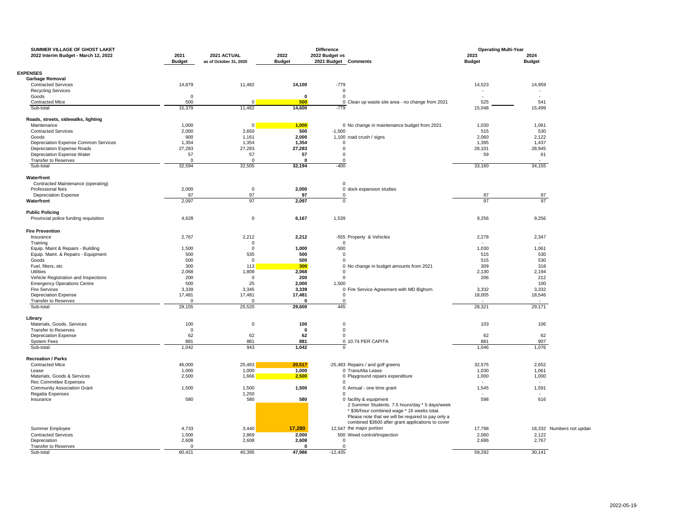| SUMMER VILLAGE OF GHOST LAKET                                   |                       |                                       |                       | <b>Difference</b>                      |                                                                                                                                                                                                                                    | <b>Operating Multi-Year</b> |                           |
|-----------------------------------------------------------------|-----------------------|---------------------------------------|-----------------------|----------------------------------------|------------------------------------------------------------------------------------------------------------------------------------------------------------------------------------------------------------------------------------|-----------------------------|---------------------------|
| 2022 Interim Budget - March 12, 2022                            | 2021<br><b>Budget</b> | 2021 ACTUAL<br>as of October 31, 2020 | 2022<br><b>Budget</b> | 2022 Budget vs<br>2021 Budget Comments |                                                                                                                                                                                                                                    | 2023<br><b>Budget</b>       | 2024<br><b>Budget</b>     |
| <b>EXPENSES</b>                                                 |                       |                                       |                       |                                        |                                                                                                                                                                                                                                    |                             |                           |
| <b>Garbage Removal</b>                                          |                       |                                       |                       |                                        |                                                                                                                                                                                                                                    |                             |                           |
| <b>Contracted Services</b>                                      | 14,879                | 11,482                                | 14,100                | $-779$                                 |                                                                                                                                                                                                                                    | 14,523                      | 14,959                    |
| <b>Recycling Services</b>                                       |                       |                                       |                       | $\mathsf 0$                            |                                                                                                                                                                                                                                    | $\sim$                      |                           |
|                                                                 |                       |                                       | 0                     |                                        |                                                                                                                                                                                                                                    |                             | in 1                      |
| Goods                                                           | 0                     | $\Omega$                              |                       | $\mathbf 0$                            |                                                                                                                                                                                                                                    |                             |                           |
| <b>Contracted Mtce</b>                                          | 500                   |                                       | 500                   |                                        | 0 Clean up waste site area - no change from 2021                                                                                                                                                                                   | 525                         | 541                       |
| Sub-total                                                       | 15,379                | 11,482                                | 14,600                | $-779$                                 |                                                                                                                                                                                                                                    | 15,048                      | 15,499                    |
| Roads, streets, sidewalks, lighting                             |                       |                                       |                       |                                        |                                                                                                                                                                                                                                    |                             |                           |
| Maintenance                                                     | 1,000                 | $\mathbf 0$                           | 1,000                 |                                        | 0 No change in maintenance budget from 2021                                                                                                                                                                                        | 1,030                       | 1,061                     |
| <b>Contracted Services</b>                                      | 2,000                 | 2,650                                 | 500                   | $-1,500$                               |                                                                                                                                                                                                                                    | 515                         | 530                       |
| Goods                                                           | 900                   | 1,161                                 | 2,000                 |                                        | 1,100 road crush / signs                                                                                                                                                                                                           | 2,060                       | 2,122                     |
| Depreciation Expense Common Services                            | 1,354                 | 1,354                                 | 1,354                 | $\mathbf 0$                            |                                                                                                                                                                                                                                    | 1,395                       | 1,437                     |
| Depreciation Expense Roads                                      | 27,283                | 27,283                                | 27,283                | 0                                      |                                                                                                                                                                                                                                    | 28,101                      | 28,945                    |
| Depreciation Expense Water                                      | 57                    | 57                                    | 57                    | $\mathbf 0$                            |                                                                                                                                                                                                                                    | 59                          | 61                        |
| Transfer to Reserves                                            | $\Omega$              | $\Omega$                              | $\Omega$              | $\mathbf 0$                            |                                                                                                                                                                                                                                    |                             |                           |
| Sub-total                                                       | 32,594                | 32,505                                | 32,194                | $-400$                                 |                                                                                                                                                                                                                                    | 33,160                      | 34,155                    |
| Waterfront                                                      |                       |                                       |                       |                                        |                                                                                                                                                                                                                                    |                             |                           |
| Contracted Maintenance (operating)                              |                       |                                       |                       | $\mathbf{0}$                           |                                                                                                                                                                                                                                    |                             |                           |
| Professional fees                                               | 2,000                 | $\overline{\mathbf{0}}$               | 2,000                 |                                        | 0 dock expansion studies                                                                                                                                                                                                           |                             |                           |
| <b>Depreciation Expense</b>                                     | 97                    | 97                                    | 97                    | $\mathbf 0$                            |                                                                                                                                                                                                                                    | 97                          | 97                        |
| Waterfront                                                      | 2,097                 | 97                                    | 2,097                 | $\mathbf 0$                            |                                                                                                                                                                                                                                    | 97                          | 97                        |
|                                                                 |                       |                                       |                       |                                        |                                                                                                                                                                                                                                    |                             |                           |
| <b>Public Policing</b><br>Provincial police funding requisition | 4,628                 | $\mathbf 0$                           | 6,167                 | 1,539                                  |                                                                                                                                                                                                                                    | 9,256                       | 9,256                     |
|                                                                 |                       |                                       |                       |                                        |                                                                                                                                                                                                                                    |                             |                           |
| <b>Fire Prevention</b>                                          |                       |                                       |                       |                                        |                                                                                                                                                                                                                                    |                             |                           |
| Insurance                                                       | 2,767                 | 2,212                                 | 2,212                 |                                        | -555 Property & Vehicles                                                                                                                                                                                                           | 2,278                       | 2,347                     |
| Training                                                        |                       | $\mathbf 0$                           |                       | $\mathbf 0$                            |                                                                                                                                                                                                                                    |                             |                           |
| Equip. Maint & Repairs - Building                               | 1,500                 | $\mathbf 0$                           | 1,000                 | $-500$                                 |                                                                                                                                                                                                                                    | 1,030                       | 1,061                     |
| Equip. Maint. & Repairs - Equipment                             | 500                   | 535                                   | 500                   | $\mathbf 0$                            |                                                                                                                                                                                                                                    | 515                         | 530                       |
| Goods                                                           | 500                   | $\Omega$                              | 500                   | $\mathbf 0$                            |                                                                                                                                                                                                                                    | 515                         | 530                       |
| Fuel, filters, etc                                              | 300                   | 113                                   | 300                   |                                        | 0 No change in budget amounts from 2021                                                                                                                                                                                            | 309                         | 318                       |
| Utilities                                                       | 2,068                 | 1,809                                 | 2,068                 | $\mathbf 0$                            |                                                                                                                                                                                                                                    | 2,130                       | 2,194                     |
| Vehicle Registration and Inspections                            | 200                   | $\overline{0}$                        | 200                   | $\mathbf 0$                            |                                                                                                                                                                                                                                    | 206                         | 212                       |
| <b>Emergency Operations Centre</b>                              | 500                   | 25                                    | 2,000                 | 1,500                                  |                                                                                                                                                                                                                                    |                             | 100                       |
| <b>Fire Services</b>                                            | 3,339                 | 3,345                                 | 3.339                 |                                        | 0 Fire Service Agreement with MD Bighorn                                                                                                                                                                                           | 3,332                       | 3.332                     |
| <b>Depreciation Expense</b>                                     | 17,481                | 17,481                                | 17,481                | $\mathbf 0$                            |                                                                                                                                                                                                                                    | 18,005                      | 18,546                    |
| <b>Transfer to Reserves</b>                                     |                       | $\Omega$                              | 0                     | $^{\circ}$                             |                                                                                                                                                                                                                                    | $\sim$                      | $\sim$                    |
| Sub-total                                                       | 29,155                | 25,520                                | 29,600                | 445                                    |                                                                                                                                                                                                                                    | 28,321                      | 29.171                    |
|                                                                 |                       |                                       |                       |                                        |                                                                                                                                                                                                                                    |                             |                           |
| Library<br>Materials, Goods, Services                           | 100                   | $\mathbf 0$                           | 100                   | $\mathbf 0$                            |                                                                                                                                                                                                                                    | 103                         | 106                       |
| <b>Transfer to Reserves</b>                                     | $\overline{0}$        |                                       | $\mathbf 0$           | $\mathbf{0}$                           |                                                                                                                                                                                                                                    |                             |                           |
| <b>Depreciation Expense</b>                                     | 62                    | 62                                    | 62                    | $\mathbf{0}$                           |                                                                                                                                                                                                                                    | 62                          | 62                        |
|                                                                 |                       |                                       |                       |                                        |                                                                                                                                                                                                                                    |                             |                           |
| <b>System Fees</b><br>Sub-total:                                | 881<br>1,042          | 881<br>943                            | 881<br>1,042          | $\mathbf 0$                            | 0 10.74 PER CAPITA                                                                                                                                                                                                                 | 881<br>1,046                | 907<br>1,076              |
|                                                                 |                       |                                       |                       |                                        |                                                                                                                                                                                                                                    |                             |                           |
| <b>Recreation / Parks</b>                                       |                       |                                       |                       |                                        |                                                                                                                                                                                                                                    |                             |                           |
| <b>Contracted Mtce</b>                                          | 46,000                | 25,483                                | 20,517                |                                        | -25,483 Repairs / and golf greens                                                                                                                                                                                                  | 32,575                      | 2,652                     |
| Lease                                                           | 1,000                 | 1,000                                 | 1,000                 |                                        | 0 TransAlta Lease                                                                                                                                                                                                                  | 1,030                       | 1,061                     |
| Materials, Goods & Services                                     | 2,500                 | 1,666                                 | 2,500                 |                                        | 0 Playground repairs expenditure                                                                                                                                                                                                   | 1,000                       | 1,000                     |
| <b>Rec Committee Expenses</b>                                   |                       |                                       |                       | $\mathbf{0}$                           |                                                                                                                                                                                                                                    |                             | $\sim$                    |
| <b>Community Association Grant</b>                              | 1,500                 | 1,500                                 | 1,500                 |                                        | 0 Annual - one time grant                                                                                                                                                                                                          | 1,545                       | 1,591                     |
| Regatta Expenses                                                |                       | 1,250                                 |                       | $\mathbf{0}$                           |                                                                                                                                                                                                                                    |                             |                           |
| Insurance                                                       | 580                   | 580                                   | 580                   |                                        | 0 facility & equipment<br>2 Summer Students. 7.5 hours/day * 5 days/week<br>* \$36/hour combined wage * 16 weeks total.<br>Please note that we will be required to pay only a<br>combined \$3600 after grant applications to cover | 598                         | 616                       |
| Summer Employee                                                 | 4,733                 | 3,440                                 | 17,280                |                                        | 12.547 the major portion                                                                                                                                                                                                           | 17,798                      | 18,332 Numbers not update |
| <b>Contracted Services</b>                                      | 1,500                 | 2,869                                 | 2,000                 |                                        |                                                                                                                                                                                                                                    | 2,060                       | 2,122                     |
| Depreciation                                                    | 2,608                 | 2,608                                 | 2,608                 | 0                                      | 500 Weed control/Inspection                                                                                                                                                                                                        | 2,686                       | 2,767                     |
| <b>Transfer to Reserves</b>                                     | $\Omega$              |                                       | $\mathbf{0}$          | $\Omega$                               |                                                                                                                                                                                                                                    |                             |                           |
| Sub-total                                                       | 60,421                | 40,395                                | 47,986                | $-12,435$                              |                                                                                                                                                                                                                                    | 59.292                      | 30,141                    |
|                                                                 |                       |                                       |                       |                                        |                                                                                                                                                                                                                                    |                             |                           |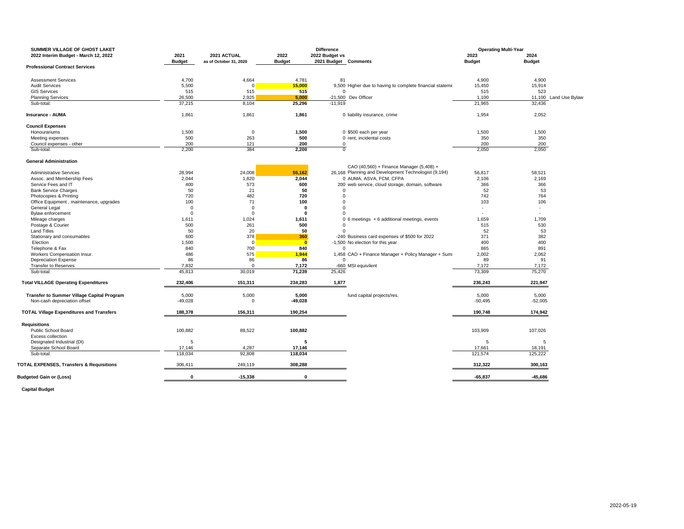| SUMMER VILLAGE OF GHOST LAKET                       |               |                        |                         | <b>Difference</b>    |                                                          | <b>Operating Multi-Year</b> |               |                       |
|-----------------------------------------------------|---------------|------------------------|-------------------------|----------------------|----------------------------------------------------------|-----------------------------|---------------|-----------------------|
| 2022 Interim Budget - March 12, 2022                | 2021          | 2021 ACTUAL            | 2022                    | 2022 Budget vs       |                                                          | 2023                        | 2024          |                       |
| <b>Professional Contract Services</b>               | <b>Budget</b> | as of October 31, 2020 | <b>Budget</b>           | 2021 Budget Comments |                                                          | <b>Budget</b>               | <b>Budget</b> |                       |
|                                                     |               |                        |                         |                      |                                                          |                             |               |                       |
| <b>Assessment Services</b>                          | 4,700         | 4,664                  | 4,781                   | 81                   |                                                          | 4,900                       | 4,900         |                       |
| <b>Audit Services</b>                               | 5,500         | $\overline{0}$         | 15,000                  |                      | 9,500 Higher due to having to complete financial stateme | 15,450                      | 15,914        |                       |
| <b>GIS Services</b>                                 | 515           | 515                    | 515                     | $\Omega$             |                                                          | 515                         | 523           |                       |
| <b>Planning Services</b>                            | 26,500        | 2,925                  | 5,000                   |                      | -21,500 Dev Officer                                      | 1,100                       |               | 11,100 Land Use Bylaw |
| Sub-total:                                          | 37,215        | 8.104                  | 25,296                  | $-11.919$            |                                                          | 21.965                      | 32.436        |                       |
| <b>Insurance - AUMA</b>                             | 1,861         | 1,861                  | 1,861                   |                      | 0 liability insurance, crime                             | 1,954                       | 2,052         |                       |
| <b>Council Expenses</b>                             |               |                        |                         |                      |                                                          |                             |               |                       |
| Honourariums                                        | 1,500         | 0                      | 1,500                   |                      | 0 \$500 each per year                                    | 1,500                       | 1,500         |                       |
| Meeting expenses                                    | 500           | 263                    | 500                     |                      | 0 rent, incidental costs                                 | 350                         | 350           |                       |
| Council expenses - other                            | 200           | 121                    | 200                     | 0                    |                                                          | 200                         | 200           |                       |
| Sub-total:                                          | 2,200         | 384                    | 2,200                   | $\overline{0}$       |                                                          | 2,050                       | 2,050         |                       |
| <b>General Administration</b>                       |               |                        |                         |                      |                                                          |                             |               |                       |
|                                                     |               |                        |                         |                      | CAO (40,560) + Finance Manager (5,408) +                 |                             |               |                       |
| <b>Administrative Services</b>                      | 28,994        | 24,008                 | 55,162                  |                      | 26,168 Planning and Development Technologist (9,194)     | 56,817                      | 58,521        |                       |
| Assoc. and Membership Fees                          | 2,044         | 1,820                  | 2,044                   |                      | 0 AUMA, ASVA, FCM, CFPA                                  | 2,106                       | 2.169         |                       |
| Service Fees and IT                                 | 400           | 573                    | 600                     |                      | 200 web service, cloud storage, domain, software         | 366                         | 366           |                       |
| <b>Bank Service Charges</b>                         | 50            | 21                     | 50                      | 0                    |                                                          | 52                          | 53            |                       |
| Photocopies & Printing                              | 720           | 482                    | 720                     | $\Omega$             |                                                          | 742                         | 764           |                       |
| Office Equipment, maintenance, upgrades             | 100           | 71                     | 100                     | $\Omega$             |                                                          | 103                         | 106           |                       |
| General Legal                                       | $\Omega$      | $\Omega$               | O                       | $\Omega$             |                                                          | $\mathbf{r}$                | ÷.            |                       |
| <b>Bylaw enforcement</b>                            | $\Omega$      | $\mathbf 0$            | $\Omega$                | $\Omega$             |                                                          |                             | ä,            |                       |
| Mileage charges                                     | 1,611         | 1,024                  | 1,611                   |                      | 0 6 meetings + 6 additional meetings, events             | 1,659                       | 1,709         |                       |
| Postage & Courier                                   | 500           | 261                    | 500                     | $\Omega$             |                                                          | 515                         | 530           |                       |
| <b>Land Titles</b>                                  | 50            | 20                     | 50                      |                      |                                                          | 52                          | 53            |                       |
| Stationary and consumables                          | 600           | 378                    | 360                     |                      | -240 Business card expenses of \$500 for 2022            | 371                         | 382           |                       |
| Election                                            | 1,500         | $\overline{0}$         | $\overline{\mathbf{0}}$ |                      | -1,500 No election for this year                         | 400                         | 400           |                       |
| Telephone & Fax                                     | 840           | 700                    | 840                     |                      |                                                          | 865                         | 891           |                       |
| Workers Compensation Insur.                         | 486           | 575                    | 1,944                   |                      | 1,458 CAO + Finance Manager + Policy Manager + Sum       | 2,002                       | 2,062         |                       |
| <b>Depreciation Expense</b>                         | 86            | 86                     | 86                      | $\Omega$             |                                                          | 89                          | 91            |                       |
| <b>Transfer to Reserves</b>                         | 7,832         | $\Omega$               | 7,172                   |                      | -660 MSI equivilent                                      | 7,172                       | 7,172         |                       |
| Sub-total:                                          | 45,813        | 30,019                 | 71,239                  | 25,426               |                                                          | 73,309                      | 75,270        |                       |
| <b>Total VILLAGE Operating Expenditures</b>         | 232,406       | 151,311                | 234,283                 | 1,877                |                                                          | 236,243                     | 221,947       |                       |
| Transfer to Summer Village Capital Program          | 5,000         | 5,000                  | 5,000                   |                      | fund capital projects/res.                               | 5,000                       | 5,000         |                       |
| Non-cash depreciation offset                        | $-49,028$     | $\mathbf 0$            | $-49,028$               |                      |                                                          | $-50,495$                   | $-52,005$     |                       |
|                                                     |               |                        |                         |                      |                                                          |                             |               |                       |
| <b>TOTAL Village Expenditures and Transfers</b>     | 188,378       | 156,311                | 190,254                 |                      |                                                          | 190,748                     | 174,942       |                       |
| <b>Requisitions</b>                                 |               |                        |                         |                      |                                                          |                             |               |                       |
| Public School Board                                 | 100,882       | 88,522                 | 100,882                 |                      |                                                          | 103,909                     | 107,026       |                       |
| Excess collection                                   |               |                        |                         |                      |                                                          |                             |               |                       |
| Designated Industrial (DI)                          | 5             |                        | 5                       |                      |                                                          | 5                           | 5             |                       |
| Separate School Board                               | 17,146        | 4,287                  | 17,146                  |                      |                                                          | 17,661                      | 18,191        |                       |
| Sub-total:                                          | 118.034       | 92,808                 | 118,034                 |                      |                                                          | 121,574                     | 125,222       |                       |
| <b>TOTAL EXPENSES, Transfers &amp; Requisitions</b> | 306,411       | 249,119                | 308,288                 |                      |                                                          | 312,322                     | 300,163       |                       |
| <b>Budgeted Gain or (Loss)</b>                      | $\mathbf{0}$  | $-15.338$              | $\mathbf{0}$            |                      |                                                          | $-65.837$                   | $-45.686$     |                       |

**Capital Budget**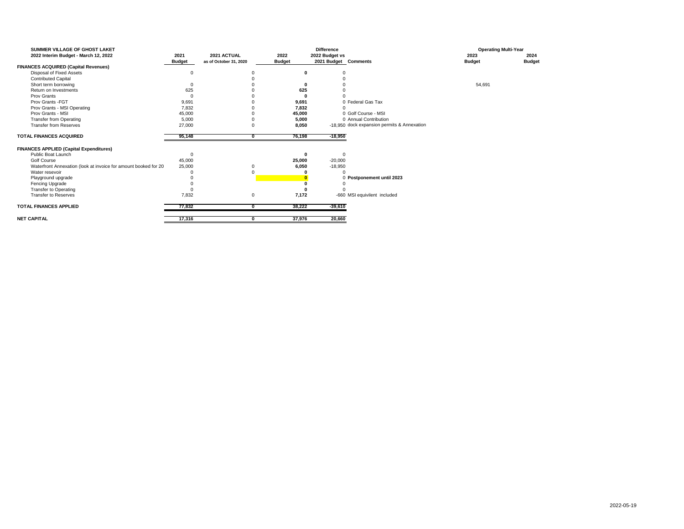| SUMMER VILLAGE OF GHOST LAKET<br>2022 Interim Budget - March 12, 2022 | 2021<br><b>Budget</b> | 2021 ACTUAL<br>as of October 31, 2020 |   | 2022<br><b>Budget</b> | <b>Difference</b><br>2022 Budget vs |           | 2021 Budget Comments                        | 2023<br><b>Budget</b> | <b>Operating Multi-Year</b><br>2024<br><b>Budget</b> |
|-----------------------------------------------------------------------|-----------------------|---------------------------------------|---|-----------------------|-------------------------------------|-----------|---------------------------------------------|-----------------------|------------------------------------------------------|
| <b>FINANCES ACQUIRED (Capital Revenues)</b>                           |                       |                                       |   |                       |                                     |           |                                             |                       |                                                      |
| Disposal of Fixed Assets                                              | 0                     |                                       |   |                       | 0                                   |           |                                             |                       |                                                      |
| <b>Contributed Capital</b>                                            |                       |                                       |   |                       |                                     |           |                                             |                       |                                                      |
| Short term borrowing                                                  | $\Omega$              |                                       |   |                       |                                     |           |                                             | 54,691                |                                                      |
| Return on Investments                                                 | 625                   |                                       |   | 625                   |                                     |           |                                             |                       |                                                      |
| Prov Grants                                                           | $\Omega$              |                                       |   |                       |                                     |           |                                             |                       |                                                      |
| Prov Grants - FGT                                                     | 9,691                 |                                       |   | 9,691                 |                                     |           | 0 Federal Gas Tax                           |                       |                                                      |
| Prov Grants - MSI Operating                                           | 7,832                 |                                       |   | 7,832                 |                                     |           |                                             |                       |                                                      |
| Prov Grants - MSI                                                     | 45,000                |                                       |   | 45,000                |                                     |           | 0 Golf Course - MSI                         |                       |                                                      |
| <b>Transfer from Operating</b>                                        | 5,000                 |                                       |   | 5,000                 |                                     |           | 0 Annual Contribution                       |                       |                                                      |
| <b>Transfer from Reserves</b>                                         | 27,000                |                                       |   | 8,050                 |                                     |           | -18.950 dock expansion permits & Annexation |                       |                                                      |
| <b>TOTAL FINANCES ACQUIRED</b>                                        | 95,148                |                                       | O | 76,198                |                                     | $-18,950$ |                                             |                       |                                                      |
| <b>FINANCES APPLIED (Capital Expenditures)</b>                        |                       |                                       |   |                       |                                     |           |                                             |                       |                                                      |
| Public Boat Launch                                                    | $\Omega$              |                                       |   |                       |                                     | $\Omega$  |                                             |                       |                                                      |
| Golf Course                                                           | 45,000                |                                       |   | 25,000                |                                     | $-20,000$ |                                             |                       |                                                      |
| Waterfront Annexation (look at invoice for amount booked for 20       | 25,000                |                                       |   | 6,050                 |                                     | $-18,950$ |                                             |                       |                                                      |
| Water resevoir                                                        |                       |                                       |   |                       |                                     |           |                                             |                       |                                                      |
| Playground upgrade                                                    |                       |                                       |   |                       |                                     |           | 0 Postponement until 2023                   |                       |                                                      |
| Fencing Upgrade                                                       |                       |                                       |   |                       |                                     |           |                                             |                       |                                                      |
| <b>Transfer to Operating</b>                                          | $\Omega$              |                                       |   |                       |                                     |           |                                             |                       |                                                      |
| <b>Transfer to Reserves</b>                                           | 7,832                 |                                       | 0 | 7,172                 |                                     |           | -660 MSI equivilent included                |                       |                                                      |
| <b>TOTAL FINANCES APPLIED</b>                                         | 77,832                |                                       |   | 38,222                |                                     | $-39,610$ |                                             |                       |                                                      |
| <b>NET CAPITAL</b>                                                    | 17,316                |                                       |   | 37,976                |                                     | 20,660    |                                             |                       |                                                      |